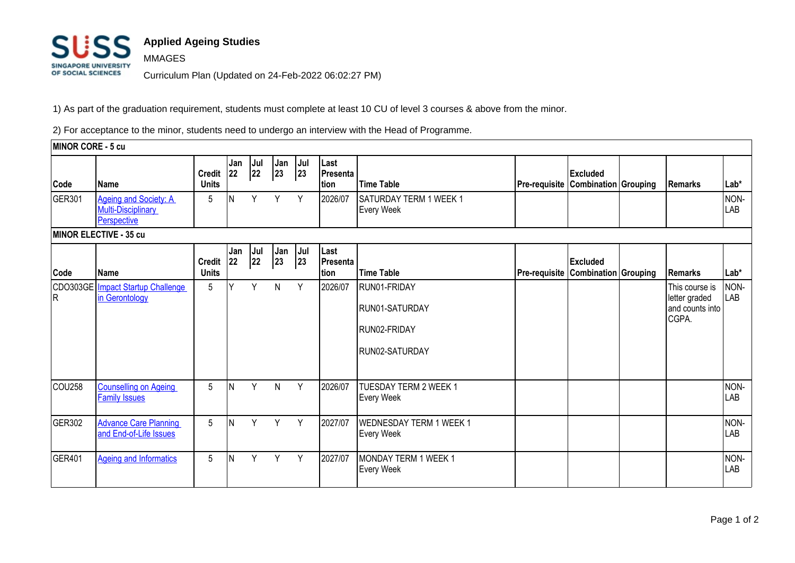

## **Applied Ageing Studies**

Curriculum Plan (Updated on 24-Feb-2022 06:02:27 PM)

1) As part of the graduation requirement, students must complete at least 10 CU of level 3 courses & above from the minor.

2) For acceptance to the minor, students need to undergo an interview with the Head of Programme.

**MINOR CORE - 5 cu Code Name Credit Units Jan 22 Jul 22 Jan 23 Jul 23 Last Presenta tion Time Table Pre-requisite Combination Grouping Remarks Lab\* Excluded**  GER301 **Ageing and Society: A** Multi-Disciplinary **[Perspective](https://sims1.suss.edu.sg/ESERVICE/Public/ViewCourse/ViewCourse.aspx?crsecd=GER301&viewtype=pdf&isft=0)** 5 N Y Y Y 2026/07 SATURDAY TERM 1 WEEK 1 Every Week NON-LAB **MINOR ELECTIVE - 35 cu Code Name Credit Units Jan 22 Jul 22 Jan 23 Jul 23 Last Presenta tion Time Table Pre-requisite Combination Grouping Remarks Lab\* Excluded**  CDO303GE Inpact Startup Challenge R [in Gerontology](https://sims1.suss.edu.sg/ESERVICE/Public/ViewCourse/ViewCourse.aspx?crsecd=CDO303GER&viewtype=pdf&isft=0) 5 Y Y N Y 2026/07 RUN01-FRIDAY RUN01-SATURDAY RUN02-FRIDAY RUN02-SATURDAY This course is letter graded and counts into CGPA. NON-LAB COU258 [Counselling on Ageing](https://sims1.suss.edu.sg/ESERVICE/Public/ViewCourse/ViewCourse.aspx?crsecd=COU258&viewtype=pdf&isft=0)  [Family Issues](https://sims1.suss.edu.sg/ESERVICE/Public/ViewCourse/ViewCourse.aspx?crsecd=COU258&viewtype=pdf&isft=0) 5 **N Y N Y 2026/07 TUESDAY TERM 2 WEEK 1** Every Week NON-LAB GER302 [Advance Care Planning](https://sims1.suss.edu.sg/ESERVICE/Public/ViewCourse/ViewCourse.aspx?crsecd=GER302&viewtype=pdf&isft=0)  [and End-of-Life Issues](https://sims1.suss.edu.sg/ESERVICE/Public/ViewCourse/ViewCourse.aspx?crsecd=GER302&viewtype=pdf&isft=0) 5 N Y Y Y 2027/07 WEDNESDAY TERM 1 WEEK 1 Every Week NON-LAB GER401 [Ageing and Informatics](https://sims1.suss.edu.sg/ESERVICE/Public/ViewCourse/ViewCourse.aspx?crsecd=GER401&viewtype=pdf&isft=0) 5 N Y Y Y 2027/07 MONDAY TERM 1 WEEK 1 Every Week NON-LAB